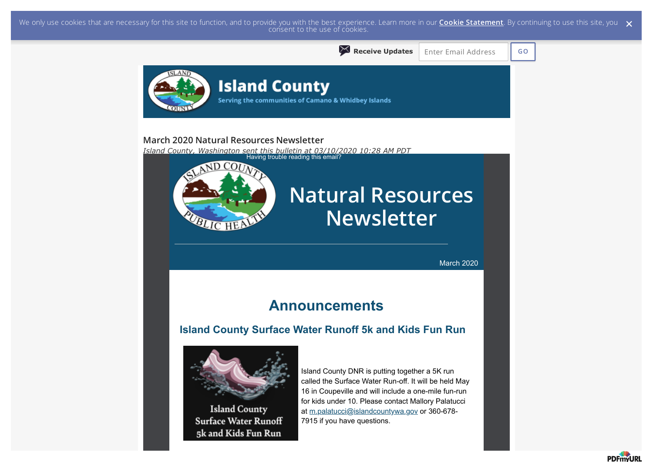We only use cookies that are necessary for this site to function, and to provide you with the best experience. Learn more in our <mark>Cookie Statement</mark>. By continuing to use this site, you  $\,\,\times\,$  consent to the use of cookie



**PDFmvURI**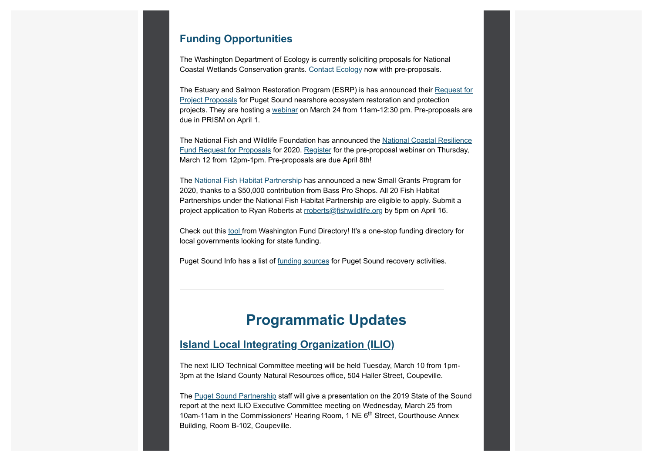### **Funding Opportunities**

The Washington Department of Ecology is currently soliciting proposals for National Coastal Wetlands Conservation grants. Contact Ecology now with pre-proposals.

The Estuary and Salmon Restoration Program (ESRP) is has announced their Request for Project Proposals for Puget Sound nearshore ecosystem restoration and protection projects. They are hosting a webinar on March 24 from 11am-12:30 pm. Pre-proposals are due in PRISM on April 1.

The National Fish and Wildlife Foundation has announced the National Coastal Resilience Fund Request for Proposals for 2020. Register for the pre-proposal webinar on Thursday, March 12 from 12pm-1pm. Pre-proposals are due April 8th!

The National Fish Habitat Partnership has announced a new Small Grants Program for 2020, thanks to a \$50,000 contribution from Bass Pro Shops. All 20 Fish Habitat Partnerships under the National Fish Habitat Partnership are eligible to apply. Submit a project application to Ryan Roberts at rroberts@fishwildlife.org by 5pm on April 16.

Check out this tool from Washington Fund Directory! It's a one-stop funding directory for local governments looking for state funding.

Puget Sound Info has a list of funding sources for Puget Sound recovery activities.

### **Programmatic Updates**

#### **Island Local Integrating Organization (ILIO)**

The next ILIO Technical Committee meeting will be held Tuesday, March 10 from 1pm-3pm at the Island County Natural Resources office, 504 Haller Street, Coupeville.

The Puget Sound Partnership staff will give a presentation on the 2019 State of the Sound report at the next ILIO Executive Committee meeting on Wednesday, March 25 from 10am-11am in the Commissioners' Hearing Room, 1 NE 6<sup>th</sup> Street, Courthouse Annex Building, Room B-102, Coupeville.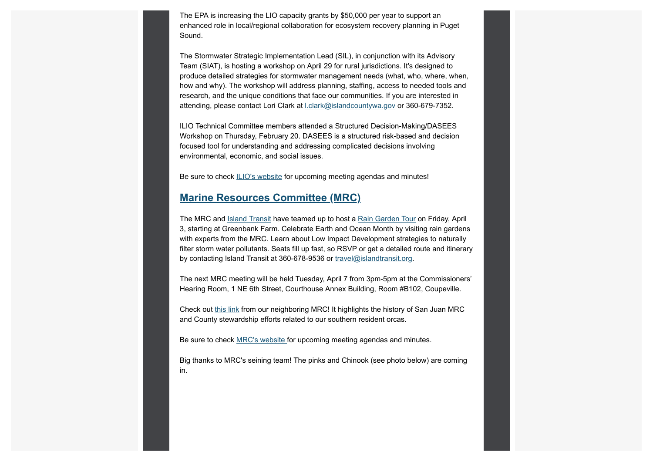The EPA is increasing the LIO capacity grants by \$50,000 per year to support an enhanced role in local/regional collaboration for ecosystem recovery planning in Puget Sound.

The Stormwater Strategic Implementation Lead (SIL), in conjunction with its Advisory Team (SIAT), is hosting a workshop on April 29 for rural jurisdictions. It's designed to produce detailed strategies for stormwater management needs (what, who, where, when, how and why). The workshop will address planning, staffing, access to needed tools and research, and the unique conditions that face our communities. If you are interested in attending, please contact Lori Clark at l.clark@islandcountywa.gov or 360-679-7352.

ILIO Technical Committee members attended a Structured Decision-Making/DASEES Workshop on Thursday, February 20. DASEES is a structured risk-based and decision focused tool for understanding and addressing complicated decisions involving environmental, economic, and social issues.

Be sure to check ILIO's website for upcoming meeting agendas and minutes!

#### **Marine Resources Committee (MRC)**

The MRC and **Island Transit** have teamed up to host a Rain Garden Tour on Friday, April 3, starting at Greenbank Farm. Celebrate Earth and Ocean Month by visiting rain gardens with experts from the MRC. Learn about Low Impact Development strategies to naturally filter storm water pollutants. Seats fill up fast, so RSVP or get a detailed route and itinerary by contacting Island Transit at 360-678-9536 or travel@islandtransit.org.

The next MRC meeting will be held Tuesday, April 7 from 3pm-5pm at the Commissioners' Hearing Room, 1 NE 6th Street, Courthouse Annex Building, Room #B102, Coupeville.

Check out this link from our neighboring MRC! It highlights the history of San Juan MRC and County stewardship efforts related to our southern resident orcas.

Be sure to check MRC's website for upcoming meeting agendas and minutes.

Big thanks to MRC's seining team! The pinks and Chinook (see photo below) are coming in.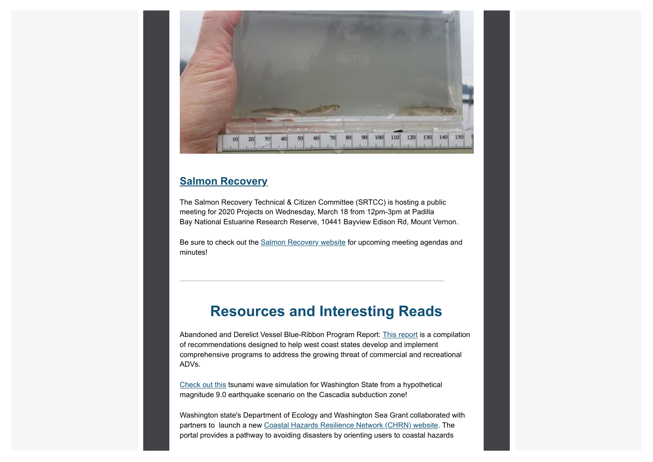

### **Salmon Recovery**

The Salmon Recovery Technical & Citizen Committee (SRTCC) is hosting a public meeting for 2020 Projects on Wednesday, March 18 from 12pm-3pm at Padilla Bay National Estuarine Research Reserve, 10441 Bayview Edison Rd, Mount Vernon.

Be sure to check out the Salmon Recovery website for upcoming meeting agendas and minutes!

# **Resources and Interesting Reads**

Abandoned and Derelict Vessel Blue-Ribbon Program Report: This report is a compilation of recommendations designed to help west coast states develop and implement comprehensive programs to address the growing threat of commercial and recreational ADVs.

Check out this tsunami wave simulation for Washington State from a hypothetical magnitude 9.0 earthquake scenario on the Cascadia subduction zone!

Washington state's Department of Ecology and Washington Sea Grant collaborated with partners to launch a new Coastal Hazards Resilience Network (CHRN) website. The portal provides a pathway to avoiding disasters by orienting users to coastal hazards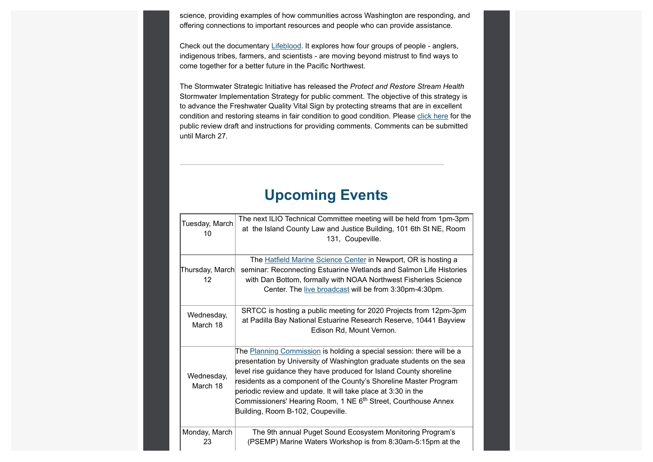science, providing examples of how communities across Washington are responding, and offering connections to important resources and people who can provide assistance.

Check out the documentary Lifeblood. It explores how four groups of people - anglers, indigenous tribes, farmers, and scientists - are moving beyond mistrust to find ways to come together for a better future in the Pacific Northwest.

The Stormwater Strategic Initiative has released the *Protect and Restore Stream Health* Stormwater Implementation Strategy for public comment. The objective of this strategy is to advance the Freshwater Quality Vital Sign by protecting streams that are in excellent condition and restoring steams in fair condition to good condition. Please click here for the public review draft and instructions for providing comments. Comments can be submitted until March 27.

## **Upcoming Events**

| Tuesday, March<br>10                 | The next ILIO Technical Committee meeting will be held from 1pm-3pm<br>at the Island County Law and Justice Building, 101 6th St NE, Room<br>131, Coupeville.                                                                                                                                                                                                                                                                                                                 |
|--------------------------------------|-------------------------------------------------------------------------------------------------------------------------------------------------------------------------------------------------------------------------------------------------------------------------------------------------------------------------------------------------------------------------------------------------------------------------------------------------------------------------------|
| Thursday, March<br>$12 \overline{ }$ | The Hatfield Marine Science Center in Newport, OR is hosting a<br>seminar: Reconnecting Estuarine Wetlands and Salmon Life Histories<br>with Dan Bottom, formally with NOAA Northwest Fisheries Science<br>Center. The live broadcast will be from 3:30pm-4:30pm.                                                                                                                                                                                                             |
| Wednesday,<br>March 18               | SRTCC is hosting a public meeting for 2020 Projects from 12pm-3pm<br>at Padilla Bay National Estuarine Research Reserve, 10441 Bayview<br>Edison Rd, Mount Vernon.                                                                                                                                                                                                                                                                                                            |
| Wednesday,<br>March 18               | The Planning Commission is holding a special session: there will be a<br>presentation by University of Washington graduate students on the sea<br>level rise guidance they have produced for Island County shoreline<br>residents as a component of the County's Shoreline Master Program<br>periodic review and update. It will take place at 3:30 in the<br>Commissioners' Hearing Room, 1 NE 6 <sup>th</sup> Street, Courthouse Annex<br>Building, Room B-102, Coupeville. |
| Monday, March<br>23                  | The 9th annual Puget Sound Ecosystem Monitoring Program's<br>(PSEMP) Marine Waters Workshop is from 8:30am-5:15pm at the                                                                                                                                                                                                                                                                                                                                                      |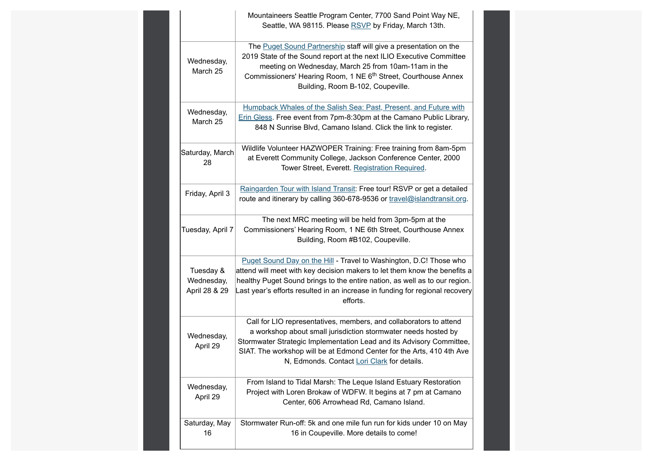|                                          | Mountaineers Seattle Program Center, 7700 Sand Point Way NE,<br>Seattle, WA 98115. Please RSVP by Friday, March 13th.                                                                                                                                                                                                                |
|------------------------------------------|--------------------------------------------------------------------------------------------------------------------------------------------------------------------------------------------------------------------------------------------------------------------------------------------------------------------------------------|
| Wednesday,<br>March 25                   | The Puget Sound Partnership staff will give a presentation on the<br>2019 State of the Sound report at the next ILIO Executive Committee<br>meeting on Wednesday, March 25 from 10am-11am in the<br>Commissioners' Hearing Room, 1 NE 6 <sup>th</sup> Street, Courthouse Annex<br>Building, Room B-102, Coupeville.                  |
| Wednesday,<br>March 25                   | Humpback Whales of the Salish Sea: Past, Present, and Future with<br>Erin Gless. Free event from 7pm-8:30pm at the Camano Public Library,<br>848 N Sunrise Blvd, Camano Island. Click the link to register.                                                                                                                          |
| Saturday, March<br>28                    | Wildlife Volunteer HAZWOPER Training: Free training from 8am-5pm<br>at Everett Community College, Jackson Conference Center, 2000<br>Tower Street, Everett. Registration Required.                                                                                                                                                   |
| Friday, April 3                          | Raingarden Tour with Island Transit: Free tour! RSVP or get a detailed<br>route and itinerary by calling 360-678-9536 or travel@islandtransit.org.                                                                                                                                                                                   |
| Tuesday, April 7                         | The next MRC meeting will be held from 3pm-5pm at the<br>Commissioners' Hearing Room, 1 NE 6th Street, Courthouse Annex<br>Building, Room #B102, Coupeville.                                                                                                                                                                         |
| Tuesday &<br>Wednesday,<br>April 28 & 29 | Puget Sound Day on the Hill - Travel to Washington, D.C! Those who<br>attend will meet with key decision makers to let them know the benefits a<br>healthy Puget Sound brings to the entire nation, as well as to our region.<br>Last year's efforts resulted in an increase in funding for regional recovery<br>efforts.            |
| Wednesday,<br>April 29                   | Call for LIO representatives, members, and collaborators to attend<br>a workshop about small jurisdiction stormwater needs hosted by<br>Stormwater Strategic Implementation Lead and its Advisory Committee,<br>SIAT. The workshop will be at Edmond Center for the Arts, 410 4th Ave<br>N, Edmonds. Contact Lori Clark for details. |
| Wednesday,<br>April 29                   | From Island to Tidal Marsh: The Leque Island Estuary Restoration<br>Project with Loren Brokaw of WDFW. It begins at 7 pm at Camano<br>Center, 606 Arrowhead Rd, Camano Island.                                                                                                                                                       |
| Saturday, May<br>16                      | Stormwater Run-off: 5k and one mile fun run for kids under 10 on May<br>16 in Coupeville. More details to come!                                                                                                                                                                                                                      |